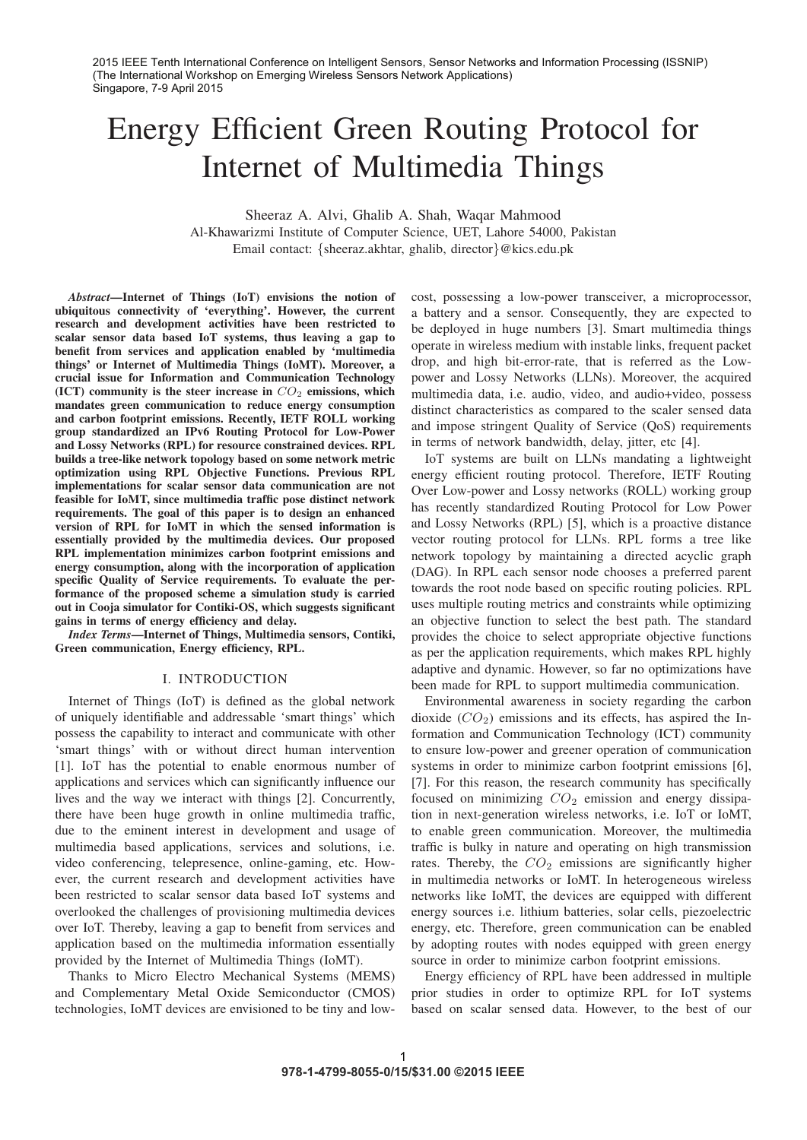# Energy Efficient Green Routing Protocol for Internet of Multimedia Things

Sheeraz A. Alvi, Ghalib A. Shah, Waqar Mahmood Al-Khawarizmi Institute of Computer Science, UET, Lahore 54000, Pakistan Email contact: {sheeraz.akhtar, ghalib, director}@kics.edu.pk

*Abstract*—Internet of Things (IoT) envisions the notion of ubiquitous connectivity of 'everything'. However, the current research and development activities have been restricted to scalar sensor data based IoT systems, thus leaving a gap to benefit from services and application enabled by 'multimedia things' or Internet of Multimedia Things (IoMT). Moreover, a crucial issue for Information and Communication Technology (ICT) community is the steer increase in  $CO<sub>2</sub>$  emissions, which mandates green communication to reduce energy consumption and carbon footprint emissions. Recently, IETF ROLL working group standardized an IPv6 Routing Protocol for Low-Power and Lossy Networks (RPL) for resource constrained devices. RPL builds a tree-like network topology based on some network metric optimization using RPL Objective Functions. Previous RPL implementations for scalar sensor data communication are not feasible for IoMT, since multimedia traffic pose distinct network requirements. The goal of this paper is to design an enhanced version of RPL for IoMT in which the sensed information is essentially provided by the multimedia devices. Our proposed RPL implementation minimizes carbon footprint emissions and energy consumption, along with the incorporation of application specific Quality of Service requirements. To evaluate the performance of the proposed scheme a simulation study is carried out in Cooja simulator for Contiki-OS, which suggests significant gains in terms of energy efficiency and delay.

*Index Terms*—Internet of Things, Multimedia sensors, Contiki, Green communication, Energy efficiency, RPL.

#### I. INTRODUCTION

Internet of Things (IoT) is defined as the global network of uniquely identifiable and addressable 'smart things' which possess the capability to interact and communicate with other 'smart things' with or without direct human intervention [1]. IoT has the potential to enable enormous number of applications and services which can significantly influence our lives and the way we interact with things [2]. Concurrently, there have been huge growth in online multimedia traffic, due to the eminent interest in development and usage of multimedia based applications, services and solutions, i.e. video conferencing, telepresence, online-gaming, etc. However, the current research and development activities have been restricted to scalar sensor data based IoT systems and overlooked the challenges of provisioning multimedia devices over IoT. Thereby, leaving a gap to benefit from services and application based on the multimedia information essentially provided by the Internet of Multimedia Things (IoMT).

Thanks to Micro Electro Mechanical Systems (MEMS) and Complementary Metal Oxide Semiconductor (CMOS) technologies, IoMT devices are envisioned to be tiny and lowcost, possessing a low-power transceiver, a microprocessor, a battery and a sensor. Consequently, they are expected to be deployed in huge numbers [3]. Smart multimedia things operate in wireless medium with instable links, frequent packet drop, and high bit-error-rate, that is referred as the Lowpower and Lossy Networks (LLNs). Moreover, the acquired multimedia data, i.e. audio, video, and audio+video, possess distinct characteristics as compared to the scaler sensed data and impose stringent Quality of Service (QoS) requirements in terms of network bandwidth, delay, jitter, etc [4].

IoT systems are built on LLNs mandating a lightweight energy efficient routing protocol. Therefore, IETF Routing Over Low-power and Lossy networks (ROLL) working group has recently standardized Routing Protocol for Low Power and Lossy Networks (RPL) [5], which is a proactive distance vector routing protocol for LLNs. RPL forms a tree like network topology by maintaining a directed acyclic graph (DAG). In RPL each sensor node chooses a preferred parent towards the root node based on specific routing policies. RPL uses multiple routing metrics and constraints while optimizing an objective function to select the best path. The standard provides the choice to select appropriate objective functions as per the application requirements, which makes RPL highly adaptive and dynamic. However, so far no optimizations have been made for RPL to support multimedia communication.

Environmental awareness in society regarding the carbon dioxide  $(CO_2)$  emissions and its effects, has aspired the Information and Communication Technology (ICT) community to ensure low-power and greener operation of communication systems in order to minimize carbon footprint emissions [6], [7]. For this reason, the research community has specifically focused on minimizing  $CO<sub>2</sub>$  emission and energy dissipation in next-generation wireless networks, i.e. IoT or IoMT, to enable green communication. Moreover, the multimedia traffic is bulky in nature and operating on high transmission rates. Thereby, the  $CO<sub>2</sub>$  emissions are significantly higher in multimedia networks or IoMT. In heterogeneous wireless networks like IoMT, the devices are equipped with different energy sources i.e. lithium batteries, solar cells, piezoelectric energy, etc. Therefore, green communication can be enabled by adopting routes with nodes equipped with green energy source in order to minimize carbon footprint emissions.

Energy efficiency of RPL have been addressed in multiple prior studies in order to optimize RPL for IoT systems based on scalar sensed data. However, to the best of our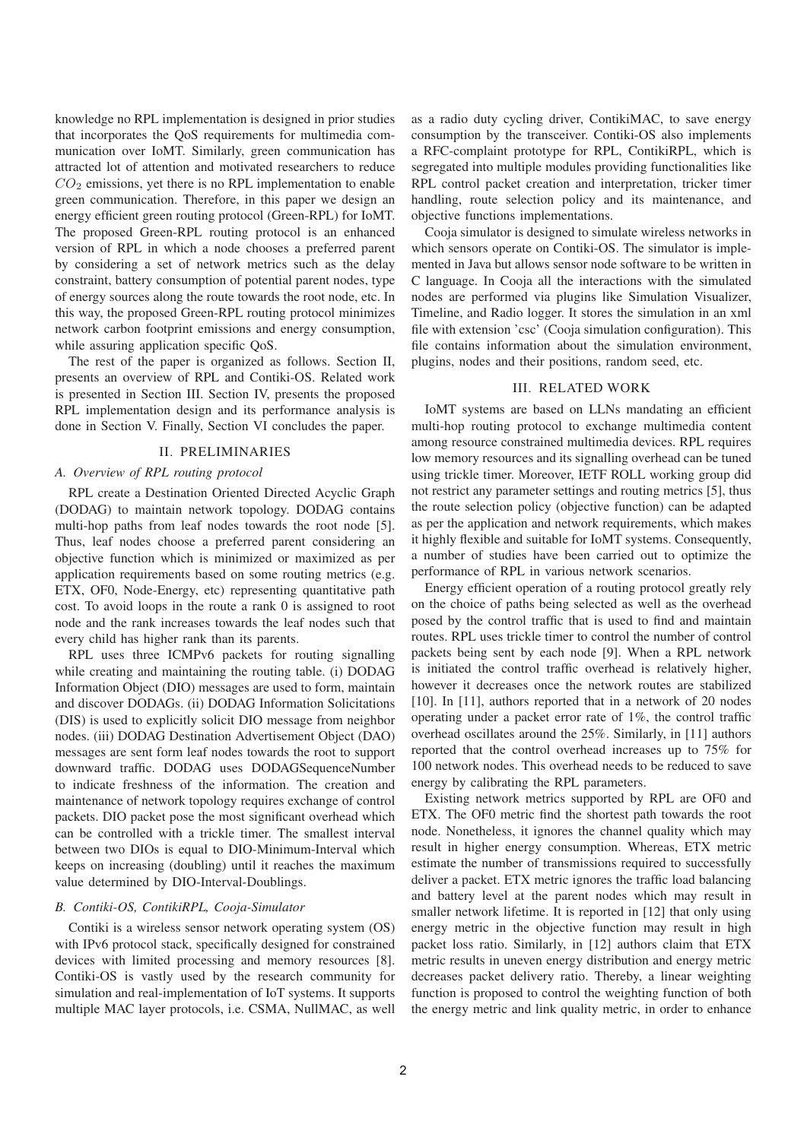knowledge no RPL implementation is designed in prior studies that incorporates the QoS requirements for multimedia com munication over IoMT. Similarly, green communication has attracted lot of attention and motivated researchers to reduce  $CO<sub>2</sub>$  emissions, yet there is no RPL implementation to enable green communication. Therefore, in this paper we design an energy efficient green routing protocol (Green-RPL) for IoMT. The proposed Green-RPL routing protocol is an enhanced version of RPL in which a node chooses a preferred parent by considering a set of network metrics such as the delay constraint, battery consumption of potential parent nodes, type of energy sources along the route towards the root node, etc. In this way, the proposed Green-RPL routing protocol minimizes network carbon footprint emissions and energy consumption, while assuring application specific QoS.

The rest of the paper is organized as follows. Section II, presents an overview of RPL and Contiki-OS. Related work is presented in Section III. Section IV, presents the proposed RPL implementation design and its performance analysis is done in Section V. Finally, Section VI concludes the paper.

## II. PRELIMINARIES

## *A. Overview of RPL routing protocol*

RPL create a Destination Oriented Directed Acyclic Graph (DODAG) to maintain network topology. DODAG contains multi-hop paths from leaf nodes towards the root node [5]. Thus, leaf nodes choose a preferred parent considering an objective function which is minimized or maximized as per application requirements based on some routing metrics (e.g. ETX, OF0, Node-Energy, etc) representing quantitative path cost. To avoid loops in the route a rank 0 is assigned to root node and the rank increases towards the leaf nodes such that every child has higher rank than its parents.

RPL uses three ICMPv6 packets for routing signalling while creating and maintaining the routing table. (i) DODAG Information Object (DIO) messages are used to form, maintain and discover DODAGs. (ii) DODAG Information Solicitations (DIS) is used to explicitly solicit DIO message from neighbor nodes. (iii) DODAG Destination Advertisement Object (DAO) messages are sent form leaf nodes towards the root to support downward traffic. DODAG uses DODAGSequenceNumber to indicate freshness of the information. The creation and maintenance of network topology requires exchange of control packets. DIO packet pose the most significant overhead which can be controlled with a trickle timer. The smallest interval between two DIOs is equal to DIO-Minimum-Interval which keeps on increasing (doubling) until it reaches the maximum value determined by DIO-Interval-Doublings.

#### *B. Contiki-OS, ContikiRPL, Cooja-Simulator*

Contiki is a wireless sensor network operating system (OS) with IPv6 protocol stack, specifically designed for constrained devices with limited processing and memory resources [8]. Contiki-OS is vastly used by the research community for simulation and real-implementation of IoT systems. It supports multiple MAC layer protocols, i.e. CSMA, NullMAC, as well

as a radio duty cycling driver, ContikiMAC, to save energy consumption by the transceiver. Contiki-OS also implements a RFC-complaint prototype for RPL, ContikiRPL, which is segregated into multiple modules providing functionalities like RPL control packet creation and interpretation, tricker timer handling, route selection policy and its maintenance, and objective functions implementations.

Cooja simulator is designed to simulate wireless networks in which sensors operate on Contiki-OS. The simulator is implemented in Java but allows sensor node software to be written in C language. In Cooja all the interactions with the simulated nodes are performed via plugins like Simulation Visualizer, Timeline, and Radio logger. It stores the simulation in an xml file with extension 'csc' (Cooja simulation configuration). This file contains information about the simulation environment, plugins, nodes and their positions, random seed, etc.

## III. RELATED WORK

IoMT systems are based on LLNs mandating an efficient multi-hop routing protocol to exchange multimedia content among resource constrained multimedia devices. RPL requires low memory resources and its signalling overhead can be tuned using trickle timer. Moreover, IETF ROLL working group did not restrict any parameter settings and routing metrics [5], thus the route selection policy (objective function) can be adapted as per the application and network requirements, which makes it highly flexible and suitable for IoMT systems. Consequently, a number of studies have been carried out to optimize the performance of RPL in various network scenarios.

Energy efficient operation of a routing protocol greatly rely on the choice of paths being selected as well as the overhead posed by the control traffic that is used to find and maintain routes. RPL uses trickle timer to control the number of control packets being sent by each node [9]. When a RPL network is initiated the control traffic overhead is relatively higher, however it decreases once the network routes are stabilized [10]. In [11], authors reported that in a network of 20 nodes operating under a packet error rate of 1%, the control traffic overhead oscillates around the 25%. Similarly, in [11] authors reported that the control overhead increases up to 75% for 100 network nodes. This overhead needs to be reduced to save energy by calibrating the RPL parameters.

Existing network metrics supported by RPL are OF0 and ETX. The OF0 metric find the shortest path towards the root node. Nonetheless, it ignores the channel quality which may result in higher energy consumption. Whereas, ETX metric estimate the number of transmissions required to successfully deliver a packet. ETX metric ignores the traffic load balancing and battery level at the parent nodes which may result in smaller network lifetime. It is reported in [12] that only using energy metric in the objective function may result in high packet loss ratio. Similarly, in [12] authors claim that ETX metric results in uneven energy distribution and energy metric decreases packet delivery ratio. Thereby, a linear weighting function is proposed to control the weighting function of both the energy metric and link quality metric, in order to enhance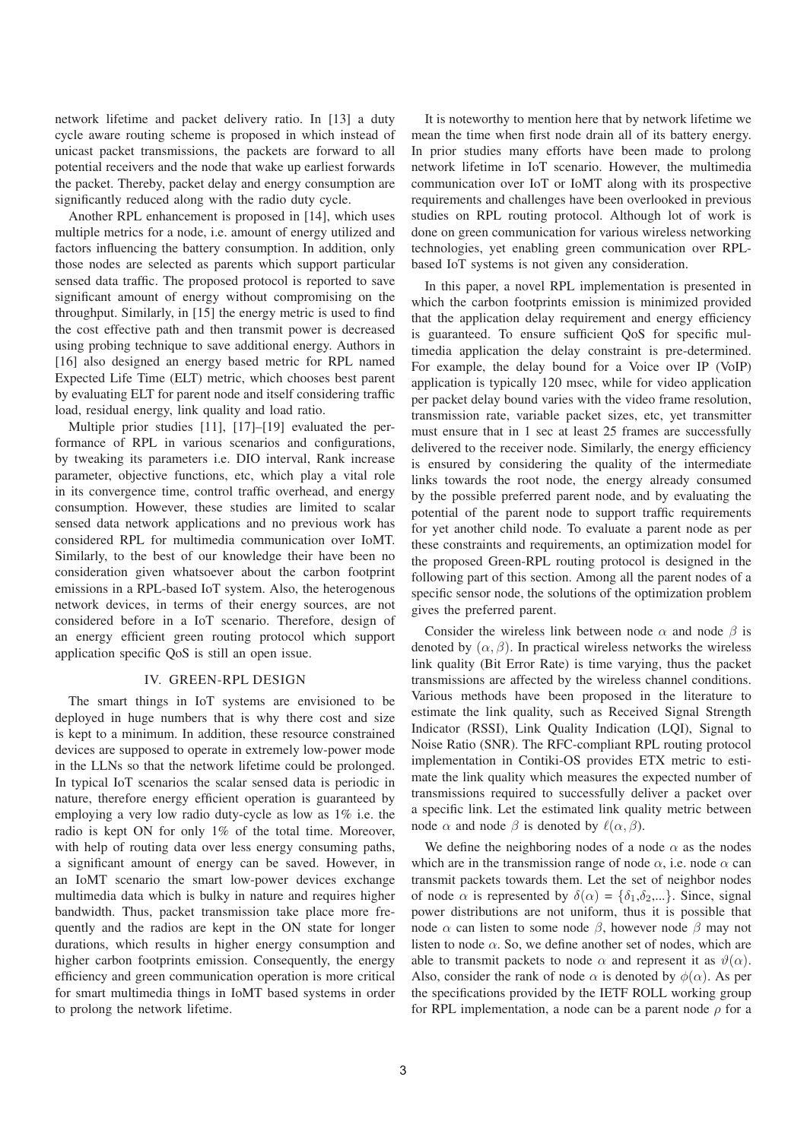network lifetime and packet delivery ratio. In [13] a duty cycle aware routing scheme is proposed in which instead of unicast packet transmissions, the packets are forward to all potential receivers and the node that wake up earliest forwards the packet. Thereby, packet delay and energy consumption are significantly reduced along with the radio duty cycle.

Another RPL enhancement is proposed in [14], which uses multiple metrics for a node, i.e. amount of energy utilized and factors influencing the battery consumption. In addition, only those nodes are selected as parents which support particular sensed data traffic. The proposed protocol is reported to save significant amount of energy without compromising on the throughput. Similarly, in [15] the energy metric is used to find the cost effective path and then transmit power is decreased using probing technique to save additional energy. Authors in [16] also designed an energy based metric for RPL named Expected Life Time (ELT) metric, which chooses best parent by evaluating ELT for parent node and itself considering traffic load, residual energy, link quality and load ratio.

Multiple prior studies [11], [17]–[19] evaluated the performance of RPL in various scenarios and configurations, by tweaking its parameters i.e. DIO interval, Rank increase parameter, objective functions, etc, which play a vital role in its convergence time, control traffic overhead, and energy consumption. However, these studies are limited to scalar sensed data network applications and no previous work has considered RPL for multimedia communication over IoMT. Similarly, to the best of our knowledge their have been no consideration given whatsoever about the carbon footprint emissions in a RPL-based IoT system. Also, the heterogenous network devices, in terms of their energy sources, are not considered before in a IoT scenario. Therefore, design of an energy efficient green routing protocol which support application specific QoS is still an open issue.

#### IV. GREEN-RPL DESIGN

The smart things in IoT systems are envisioned to be deployed in huge numbers that is why there cost and size is kept to a minimum. In addition, these resource constrained devices are supposed to operate in extremely low-power mode in the LLNs so that the network lifetime could be prolonged. In typical IoT scenarios the scalar sensed data is periodic in nature, therefore energy efficient operation is guaranteed by employing a very low radio duty-cycle as low as 1% i.e. the radio is kept ON for only 1% of the total time. Moreover, with help of routing data over less energy consuming paths, a significant amount of energy can be saved. However, in an IoMT scenario the smart low-power devices exchange multimedia data which is bulky in nature and requires higher bandwidth. Thus, packet transmission take place more frequently and the radios are kept in the ON state for longer durations, which results in higher energy consumption and higher carbon footprints emission. Consequently, the energy efficiency and green communication operation is more critical for smart multimedia things in IoMT based systems in order to prolong the network lifetime.

It is noteworthy to mention here that by network lifetime we mean the time when first node drain all of its battery energy. In prior studies many efforts have been made to prolong network lifetime in IoT scenario. However, the multimedia communication over IoT or IoMT along with its prospective requirements and challenges have been overlooked in previous studies on RPL routing protocol. Although lot of work is done on green communication for various wireless networking technologies, yet enabling green communication over RPLbased IoT systems is not given any consideration.

In this paper, a novel RPL implementation is presented in which the carbon footprints emission is minimized provided that the application delay requirement and energy efficiency is guaranteed. To ensure sufficient QoS for specific multimedia application the delay constraint is pre-determined. For example, the delay bound for a Voice over IP (VoIP) application is typically 120 msec, while for video application per packet delay bound varies with the video frame resolution, transmission rate, variable packet sizes, etc, yet transmitter must ensure that in 1 sec at least 25 frames are successfully delivered to the receiver node. Similarly, the energy efficiency is ensured by considering the quality of the intermediate links towards the root node, the energy already consumed by the possible preferred parent node, and by evaluating the potential of the parent node to support traffic requirements for yet another child node. To evaluate a parent node as per these constraints and requirements, an optimization model for the proposed Green-RPL routing protocol is designed in the following part of this section. Among all the parent nodes of a specific sensor node, the solutions of the optimization problem gives the preferred parent.

Consider the wireless link between node  $\alpha$  and node  $\beta$  is denoted by  $(\alpha, \beta)$ . In practical wireless networks the wireless link quality (Bit Error Rate) is time varying, thus the packet transmissions are affected by the wireless channel conditions. Various methods have been proposed in the literature to estimate the link quality, such as Received Signal Strength Indicator (RSSI), Link Quality Indication (LQI), Signal to Noise Ratio (SNR). The RFC-compliant RPL routing protocol implementation in Contiki-OS provides ETX metric to estimate the link quality which measures the expected number of transmissions required to successfully deliver a packet over a specific link. Let the estimated link quality metric between node  $\alpha$  and node  $\beta$  is denoted by  $\ell(\alpha, \beta)$ .

We define the neighboring nodes of a node  $\alpha$  as the nodes which are in the transmission range of node  $\alpha$ , i.e. node  $\alpha$  can transmit packets towards them. Let the set of neighbor nodes of node  $\alpha$  is represented by  $\delta(\alpha) = {\delta_1, \delta_2,...}$ . Since, signal power distributions are not uniform, thus it is possible that node  $\alpha$  can listen to some node  $\beta$ , however node  $\beta$  may not listen to node  $\alpha$ . So, we define another set of nodes, which are able to transmit packets to node  $\alpha$  and represent it as  $\vartheta(\alpha)$ . Also, consider the rank of node  $\alpha$  is denoted by  $\phi(\alpha)$ . As per the specifications provided by the IETF ROLL working group for RPL implementation, a node can be a parent node  $\rho$  for a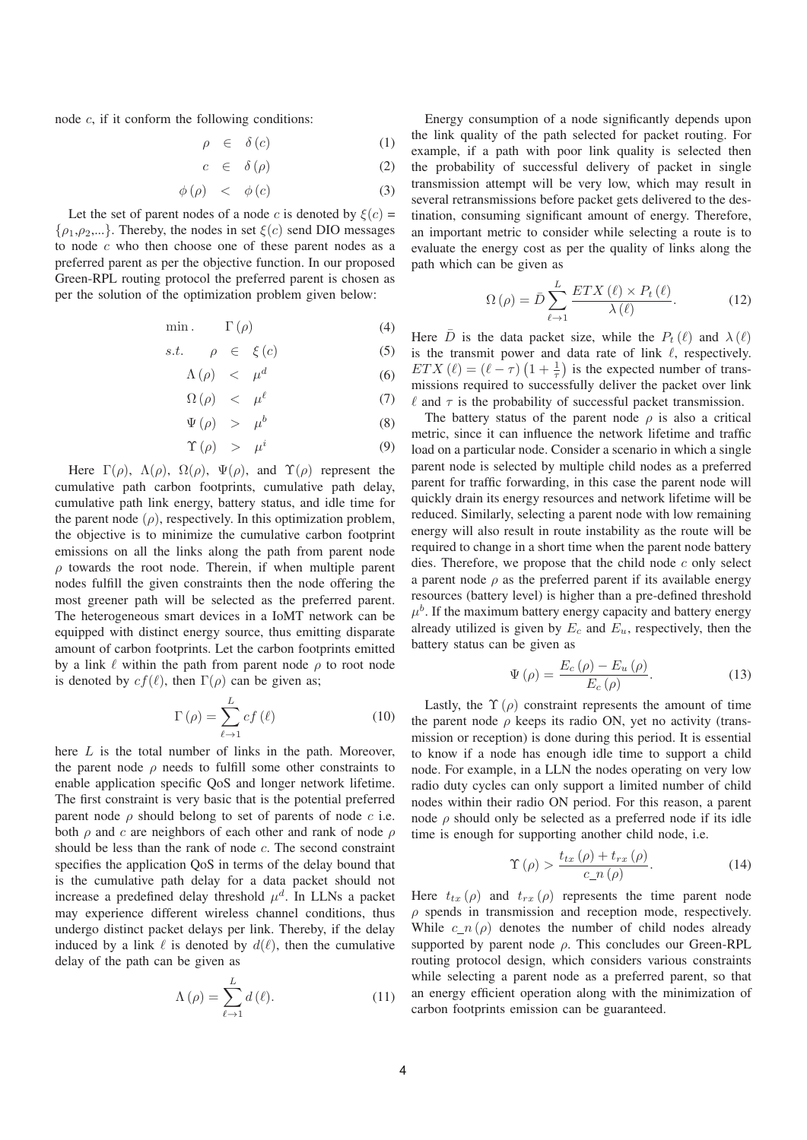node  $c$ , if it conform the following conditions:

$$
\rho \quad \in \quad \delta(c) \tag{1}
$$

$$
c \in \delta(\rho) \tag{2}
$$

$$
\phi(\rho) < \phi(c) \tag{3}
$$

Let the set of parent nodes of a node c is denoted by  $\xi(c)$  =  $\{\rho_1,\rho_2,...\}$ . Thereby, the nodes in set  $\xi(c)$  send DIO messages to node c who then choose one of these parent nodes as a preferred parent as per the objective function. In our proposed Green-RPL routing protocol the preferred parent is chosen as per the solution of the optimization problem given below:

$$
\min. \qquad \Gamma(\rho) \tag{4}
$$

$$
s.t. \qquad \rho \quad \in \quad \xi(c) \tag{5}
$$

$$
\Lambda(\rho) \quad < \quad \mu^d \tag{6}
$$

$$
\Omega\left(\rho\right) \quad < \quad \mu^{\ell} \tag{7}
$$

$$
\Psi(\rho) > \mu^b \tag{8}
$$

$$
\Upsilon(\rho) > \mu^i \tag{9}
$$

Here  $\Gamma(\rho)$ ,  $\Lambda(\rho)$ ,  $\Omega(\rho)$ ,  $\Psi(\rho)$ , and  $\Upsilon(\rho)$  represent the cumulative path carbon footprints, cumulative path delay, cumulative path link energy, battery status, and idle time for the parent node  $(\rho)$ , respectively. In this optimization problem, the objective is to minimize the cumulative carbon footprint emissions on all the links along the path from parent node  $\rho$  towards the root node. Therein, if when multiple parent nodes fulfill the given constraints then the node offering the most greener path will be selected as the preferred parent. The heterogeneous smart devices in a IoMT network can be equipped with distinct energy source, thus emitting disparate amount of carbon footprints. Let the carbon footprints emitted by a link  $\ell$  within the path from parent node  $\rho$  to root node is denoted by  $cf(\ell)$ , then  $\Gamma(\rho)$  can be given as;

$$
\Gamma\left(\rho\right) = \sum_{\ell \to 1}^{L} cf\left(\ell\right) \tag{10}
$$

here  $L$  is the total number of links in the path. Moreover, the parent node  $\rho$  needs to fulfill some other constraints to enable application specific QoS and longer network lifetime. The first constraint is very basic that is the potential preferred parent node  $\rho$  should belong to set of parents of node c i.e. both  $\rho$  and c are neighbors of each other and rank of node  $\rho$ should be less than the rank of node c. The second constraint specifies the application QoS in terms of the delay bound that is the cumulative path delay for a data packet should not increase a predefined delay threshold  $\mu^d$ . In LLNs a packet may experience different wireless channel conditions, thus undergo distinct packet delays per link. Thereby, if the delay induced by a link  $\ell$  is denoted by  $d(\ell)$ , then the cumulative delay of the path can be given as

$$
\Lambda(\rho) = \sum_{\ell \to 1}^{L} d(\ell). \tag{11}
$$

Energy consumption of a node significantly depends upon the link quality of the path selected for packet routing. For example, if a path with poor link quality is selected then the probability of successful delivery of packet in single transmission attempt will be very low, which may result in several retransmissions before packet gets delivered to the destination, consuming significant amount of energy. Therefore, an important metric to consider while selecting a route is to evaluate the energy cost as per the quality of links along the path which can be given as

$$
\Omega\left(\rho\right) = \bar{D} \sum_{\ell \to 1}^{L} \frac{ETX\left(\ell\right) \times P_t\left(\ell\right)}{\lambda\left(\ell\right)}.\tag{12}
$$

Here  $\overline{D}$  is the data packet size, while the  $P_t(\ell)$  and  $\lambda(\ell)$ is the transmit power and data rate of link  $\ell$ , respectively.  $ETX(\ell) = (\ell - \tau) \left(1 + \frac{1}{\tau}\right)$  is the expected number of transmissions required to successfully deliver the packet over link  $\ell$  and  $\tau$  is the probability of successful packet transmission.

The battery status of the parent node  $\rho$  is also a critical metric, since it can influence the network lifetime and traffic load on a particular node. Consider a scenario in which a single parent node is selected by multiple child nodes as a preferred parent for traffic forwarding, in this case the parent node will quickly drain its energy resources and network lifetime will be reduced. Similarly, selecting a parent node with low remaining energy will also result in route instability as the route will be required to change in a short time when the parent node battery dies. Therefore, we propose that the child node  $c$  only select a parent node  $\rho$  as the preferred parent if its available energy resources (battery level) is higher than a pre-defined threshold  $\mu^{b}$ . If the maximum battery energy capacity and battery energy already utilized is given by  $E_c$  and  $E_u$ , respectively, then the battery status can be given as

$$
\Psi\left(\rho\right) = \frac{E_c\left(\rho\right) - E_u\left(\rho\right)}{E_c\left(\rho\right)}.\tag{13}
$$

Lastly, the  $\Upsilon(\rho)$  constraint represents the amount of time the parent node  $\rho$  keeps its radio ON, yet no activity (transmission or reception) is done during this period. It is essential to know if a node has enough idle time to support a child node. For example, in a LLN the nodes operating on very low radio duty cycles can only support a limited number of child nodes within their radio ON period. For this reason, a parent node  $\rho$  should only be selected as a preferred node if its idle time is enough for supporting another child node, i.e.

$$
\Upsilon(\rho) > \frac{t_{tx}(\rho) + t_{rx}(\rho)}{c_{\_n}(\rho)}.
$$
\n(14)

Here  $t_{tx}$  ( $\rho$ ) and  $t_{rx}$  ( $\rho$ ) represents the time parent node  $\rho$  spends in transmission and reception mode, respectively. While  $c_n(\rho)$  denotes the number of child nodes already supported by parent node  $\rho$ . This concludes our Green-RPL routing protocol design, which considers various constraints while selecting a parent node as a preferred parent, so that an energy efficient operation along with the minimization of carbon footprints emission can be guaranteed.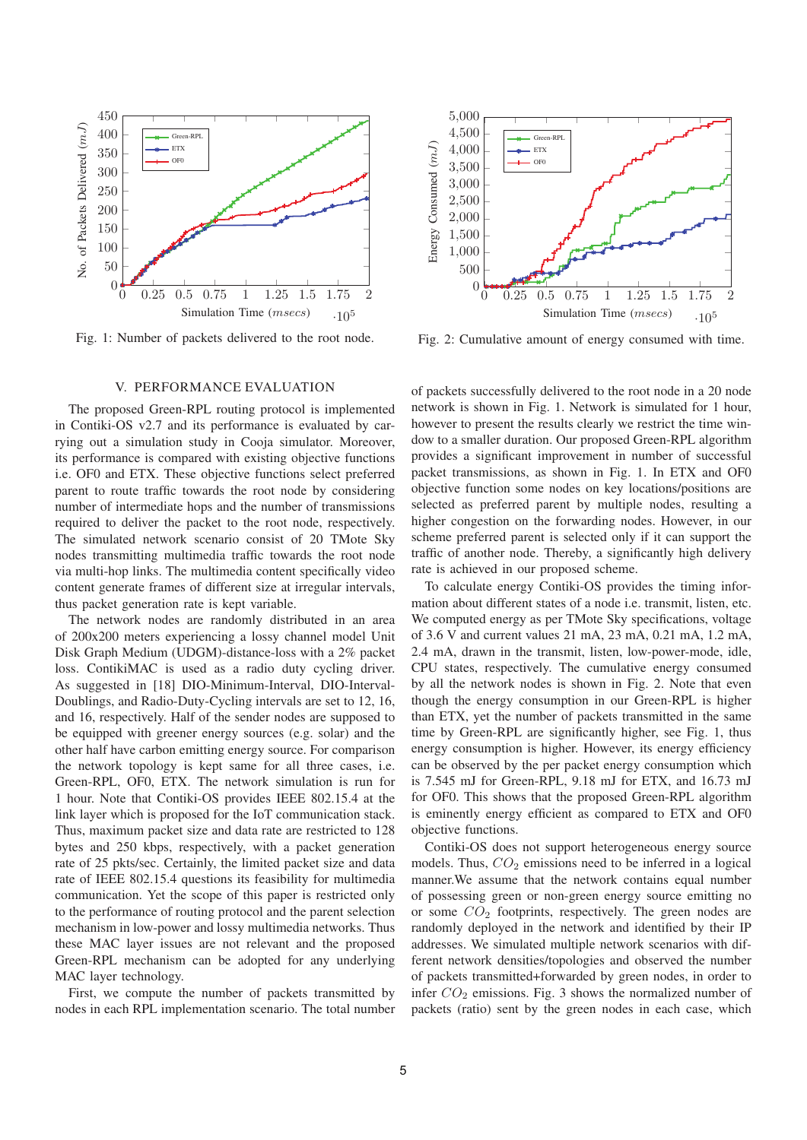

Fig. 1: Number of packets delivered to the root node.

#### V. PERFORMANCE EVALUATION

The proposed Green-RPL routing protocol is implemented in Contiki-OS v2.7 and its performance is evaluated by carrying out a simulation study in Cooja simulator. Moreover, its performance is compared with existing objective functions i.e. OF0 and ETX. These objective functions select preferred parent to route traffic towards the root node by considering number of intermediate hops and the number of transmissions required to deliver the packet to the root node, respectively. The simulated network scenario consist of 20 TMote Sky nodes transmitting multimedia traffic towards the root node via multi-hop links. The multimedia content specifically video content generate frames of different size at irregular intervals, thus packet generation rate is kept variable.

The network nodes are randomly distributed in an area of 200x200 meters experiencing a lossy channel model Unit Disk Graph Medium (UDGM)-distance-loss with a 2% packet loss. ContikiMAC is used as a radio duty cycling driver. As suggested in [18] DIO-Minimum-Interval, DIO-Interval-Doublings, and Radio-Duty-Cycling intervals are set to 12, 16, and 16, respectively. Half of the sender nodes are supposed to be equipped with greener energy sources (e.g. solar) and the other half have carbon emitting energy source. For comparison the network topology is kept same for all three cases, i.e. Green-RPL, OF0, ETX. The network simulation is run for 1 hour. Note that Contiki-OS provides IEEE 802.15.4 at the link layer which is proposed for the IoT communication stack. Thus, maximum packet size and data rate are restricted to 128 bytes and 250 kbps, respectively, with a packet generation rate of 25 pkts/sec. Certainly, the limited packet size and data rate of IEEE 802.15.4 questions its feasibility for multimedia communication. Yet the scope of this paper is restricted only to the performance of routing protocol and the parent selection mechanism in low-power and lossy multimedia networks. Thus these MAC layer issues are not relevant and the proposed Green-RPL mechanism can be adopted for any underlying MAC layer technology.

First, we compute the number of packets transmitted by nodes in each RPL implementation scenario. The total number



Fig. 2: Cumulative amount of energy consumed with time.

of packets successfully delivered to the root node in a 20 node network is shown in Fig. 1. Network is simulated for 1 hour, however to present the results clearly we restrict the time window to a smaller duration. Our proposed Green-RPL algorithm provides a significant improvement in number of successful packet transmissions, as shown in Fig. 1. In ETX and OF0 objective function some nodes on key locations/positions are selected as preferred parent by multiple nodes, resulting a higher congestion on the forwarding nodes. However, in our scheme preferred parent is selected only if it can support the traffic of another node. Thereby, a significantly high delivery rate is achieved in our proposed scheme.

To calculate energy Contiki-OS provides the timing information about different states of a node i.e. transmit, listen, etc. We computed energy as per TMote Sky specifications, voltage of 3.6 V and current values 21 mA, 23 mA, 0.21 mA, 1.2 mA, 2.4 mA, drawn in the transmit, listen, low-power-mode, idle, CPU states, respectively. The cumulative energy consumed by all the network nodes is shown in Fig. 2. Note that even though the energy consumption in our Green-RPL is higher than ETX, yet the number of packets transmitted in the same time by Green-RPL are significantly higher, see Fig. 1, thus energy consumption is higher. However, its energy efficiency can be observed by the per packet energy consumption which is 7.545 mJ for Green-RPL, 9.18 mJ for ETX, and 16.73 mJ for OF0. This shows that the proposed Green-RPL algorithm is eminently energy efficient as compared to ETX and OF0 objective functions.

Contiki-OS does not support heterogeneous energy source models. Thus,  $CO<sub>2</sub>$  emissions need to be inferred in a logical manner.We assume that the network contains equal number of possessing green or non-green energy source emitting no or some  $CO<sub>2</sub>$  footprints, respectively. The green nodes are randomly deployed in the network and identified by their IP addresses. We simulated multiple network scenarios with different network densities/topologies and observed the number of packets transmitted+forwarded by green nodes, in order to infer  $CO<sub>2</sub>$  emissions. Fig. 3 shows the normalized number of packets (ratio) sent by the green nodes in each case, which